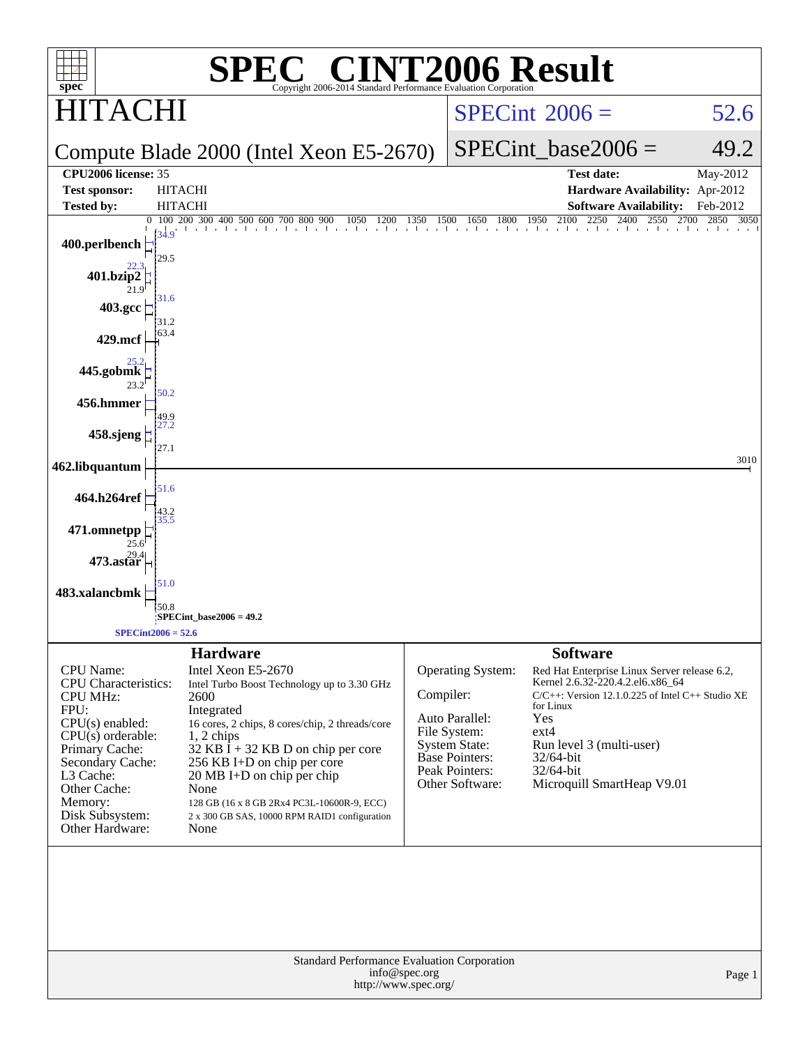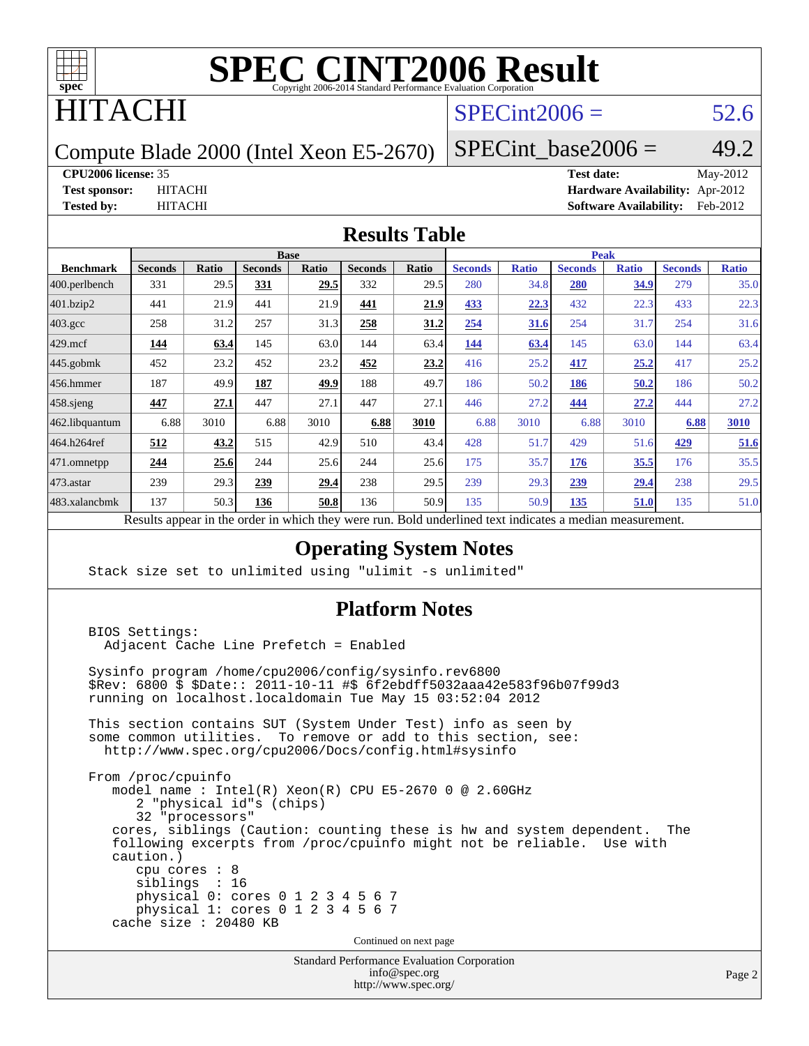

# ITACHI

## $SPECint2006 = 52.6$  $SPECint2006 = 52.6$

Compute Blade 2000 (Intel Xeon E5-2670)

SPECint base2006 =  $49.2$ 

**[CPU2006 license:](http://www.spec.org/auto/cpu2006/Docs/result-fields.html#CPU2006license)** 35 **[Test date:](http://www.spec.org/auto/cpu2006/Docs/result-fields.html#Testdate)** May-2012 **[Test sponsor:](http://www.spec.org/auto/cpu2006/Docs/result-fields.html#Testsponsor)** HITACHI **[Hardware Availability:](http://www.spec.org/auto/cpu2006/Docs/result-fields.html#HardwareAvailability)** Apr-2012 **[Tested by:](http://www.spec.org/auto/cpu2006/Docs/result-fields.html#Testedby)** HITACHI **[Software Availability:](http://www.spec.org/auto/cpu2006/Docs/result-fields.html#SoftwareAvailability)** Feb-2012

#### **[Results Table](http://www.spec.org/auto/cpu2006/Docs/result-fields.html#ResultsTable)**

|                         | <b>Base</b>                                       |       |                |              |                |       | <b>Peak</b>                                                |              |                |              |                |              |
|-------------------------|---------------------------------------------------|-------|----------------|--------------|----------------|-------|------------------------------------------------------------|--------------|----------------|--------------|----------------|--------------|
| <b>Benchmark</b>        | <b>Seconds</b>                                    | Ratio | <b>Seconds</b> | <b>Ratio</b> | <b>Seconds</b> | Ratio | <b>Seconds</b>                                             | <b>Ratio</b> | <b>Seconds</b> | <b>Ratio</b> | <b>Seconds</b> | <b>Ratio</b> |
| $ 400.\text{perlbench}$ | 331                                               | 29.5  | 331            | 29.5         | 332            | 29.5  | 280                                                        | 34.8         | 280            | 34.9         | 279            | 35.0         |
| 401.bzip2               | 441                                               | 21.9  | 441            | 21.9         | 441            | 21.9  | 433                                                        | 22.3         | 432            | 22.3         | 433            | 22.3         |
| $403.\mathrm{gcc}$      | 258                                               | 31.2  | 257            | 31.3         | 258            | 31.2  | 254                                                        | 31.6         | 254            | 31.7         | 254            | 31.6         |
| $429$ mcf               | 144                                               | 63.4  | 145            | 63.0         | 144            | 63.4  | 144                                                        | 63.4         | 145            | 63.0         | 144            | 63.4         |
| $445$ .gobmk            | 452                                               | 23.2  | 452            | 23.2         | 452            | 23.2  | 416                                                        | 25.2         | 417            | 25.2         | 417            | 25.2         |
| $ 456$ .hmmer           | 187                                               | 49.9  | 187            | 49.9         | 188            | 49.7  | 186                                                        | 50.2         | 186            | 50.2         | 186            | 50.2         |
| $458$ .sjeng            | 447                                               | 27.1  | 447            | 27.1         | 447            | 27.1  | 446                                                        | 27.2         | 444            | 27.2         | 444            | 27.2         |
| 462.libquantum          | 6.88                                              | 3010  | 6.88           | 3010         | 6.88           | 3010  | 6.88                                                       | 3010         | 6.88           | 3010         | 6.88           | 3010         |
| 464.h264ref             | 512                                               | 43.2  | 515            | 42.9         | 510            | 43.4  | 428                                                        | 51.7         | 429            | 51.6         | 429            | 51.6         |
| 471.omnetpp             | 244                                               | 25.6  | 244            | 25.6         | 244            | 25.6  | 175                                                        | 35.7         | 176            | 35.5         | 176            | 35.5         |
| $473.$ astar            | 239                                               | 29.3  | 239            | 29.4         | 238            | 29.5  | 239                                                        | 29.3         | 239            | 29.4         | 238            | 29.5         |
| 483.xalancbmk           | 137                                               | 50.3  | 136            | 50.8         | 136            | 50.9  | 135                                                        | 50.9         | 135            | 51.0         | 135            | 51.0         |
|                         | Decute ennear in the order in which thay were min |       |                |              |                |       | <b>Dold</b> underlined text indicates a modian measurement |              |                |              |                |              |

Results appear in the [order in which they were run.](http://www.spec.org/auto/cpu2006/Docs/result-fields.html#RunOrder) Bold underlined text [indicates a median measurement.](http://www.spec.org/auto/cpu2006/Docs/result-fields.html#Median)

#### **[Operating System Notes](http://www.spec.org/auto/cpu2006/Docs/result-fields.html#OperatingSystemNotes)**

Stack size set to unlimited using "ulimit -s unlimited"

#### **[Platform Notes](http://www.spec.org/auto/cpu2006/Docs/result-fields.html#PlatformNotes)**

 BIOS Settings: Adjacent Cache Line Prefetch = Enabled Sysinfo program /home/cpu2006/config/sysinfo.rev6800 \$Rev: 6800 \$ \$Date:: 2011-10-11 #\$ 6f2ebdff5032aaa42e583f96b07f99d3 running on localhost.localdomain Tue May 15 03:52:04 2012 This section contains SUT (System Under Test) info as seen by some common utilities. To remove or add to this section, see: <http://www.spec.org/cpu2006/Docs/config.html#sysinfo> From /proc/cpuinfo model name : Intel(R) Xeon(R) CPU E5-2670 0 @ 2.60GHz 2 "physical id"s (chips) 32 "processors" cores, siblings (Caution: counting these is hw and system dependent. The following excerpts from /proc/cpuinfo might not be reliable. Use with caution.) cpu cores : 8 siblings : 16 physical 0: cores 0 1 2 3 4 5 6 7 physical 1: cores 0 1 2 3 4 5 6 7 cache size : 20480 KB Continued on next page

> Standard Performance Evaluation Corporation [info@spec.org](mailto:info@spec.org) <http://www.spec.org/>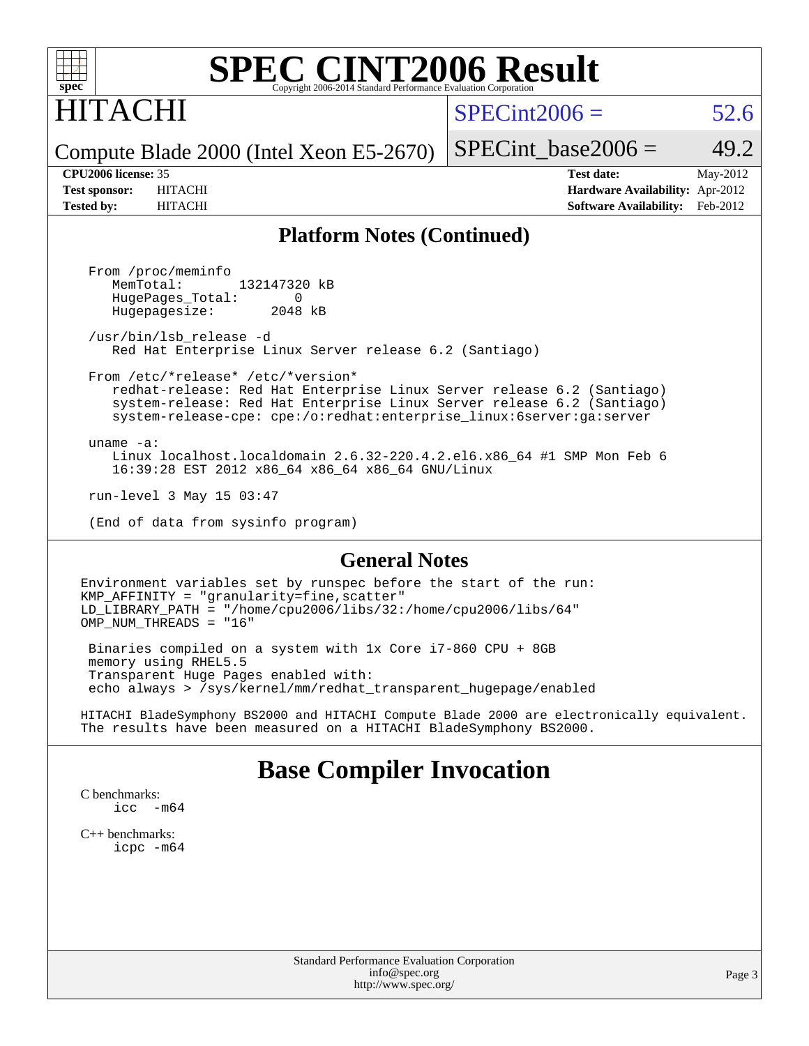

# ITACHI

 $SPECint2006 = 52.6$  $SPECint2006 = 52.6$ 

Compute Blade 2000 (Intel Xeon E5-2670)

SPECint base2006 =  $49.2$ 

**[CPU2006 license:](http://www.spec.org/auto/cpu2006/Docs/result-fields.html#CPU2006license)** 35 **[Test date:](http://www.spec.org/auto/cpu2006/Docs/result-fields.html#Testdate)** May-2012 **[Test sponsor:](http://www.spec.org/auto/cpu2006/Docs/result-fields.html#Testsponsor)** HITACHI **[Hardware Availability:](http://www.spec.org/auto/cpu2006/Docs/result-fields.html#HardwareAvailability)** Apr-2012 **[Tested by:](http://www.spec.org/auto/cpu2006/Docs/result-fields.html#Testedby)** HITACHI **[Software Availability:](http://www.spec.org/auto/cpu2006/Docs/result-fields.html#SoftwareAvailability)** Feb-2012

#### **[Platform Notes \(Continued\)](http://www.spec.org/auto/cpu2006/Docs/result-fields.html#PlatformNotes)**

 From /proc/meminfo MemTotal: 132147320 kB HugePages\_Total: 0<br>Hugepagesize: 2048 kB Hugepagesize:

 /usr/bin/lsb\_release -d Red Hat Enterprise Linux Server release 6.2 (Santiago)

 From /etc/\*release\* /etc/\*version\* redhat-release: Red Hat Enterprise Linux Server release 6.2 (Santiago) system-release: Red Hat Enterprise Linux Server release 6.2 (Santiago) system-release-cpe: cpe:/o:redhat:enterprise\_linux:6server:ga:server

 uname -a: Linux localhost.localdomain 2.6.32-220.4.2.el6.x86\_64 #1 SMP Mon Feb 6 16:39:28 EST 2012 x86\_64 x86\_64 x86\_64 GNU/Linux

run-level 3 May 15 03:47

(End of data from sysinfo program)

#### **[General Notes](http://www.spec.org/auto/cpu2006/Docs/result-fields.html#GeneralNotes)**

Environment variables set by runspec before the start of the run: KMP\_AFFINITY = "granularity=fine,scatter" LD\_LIBRARY\_PATH = "/home/cpu2006/libs/32:/home/cpu2006/libs/64" OMP NUM THREADS = "16"

 Binaries compiled on a system with 1x Core i7-860 CPU + 8GB memory using RHEL5.5 Transparent Huge Pages enabled with: echo always > /sys/kernel/mm/redhat\_transparent\_hugepage/enabled

HITACHI BladeSymphony BS2000 and HITACHI Compute Blade 2000 are electronically equivalent. The results have been measured on a HITACHI BladeSymphony BS2000.

## **[Base Compiler Invocation](http://www.spec.org/auto/cpu2006/Docs/result-fields.html#BaseCompilerInvocation)**

[C benchmarks](http://www.spec.org/auto/cpu2006/Docs/result-fields.html#Cbenchmarks): [icc -m64](http://www.spec.org/cpu2006/results/res2012q3/cpu2006-20120619-23061.flags.html#user_CCbase_intel_icc_64bit_f346026e86af2a669e726fe758c88044)

[C++ benchmarks:](http://www.spec.org/auto/cpu2006/Docs/result-fields.html#CXXbenchmarks) [icpc -m64](http://www.spec.org/cpu2006/results/res2012q3/cpu2006-20120619-23061.flags.html#user_CXXbase_intel_icpc_64bit_fc66a5337ce925472a5c54ad6a0de310)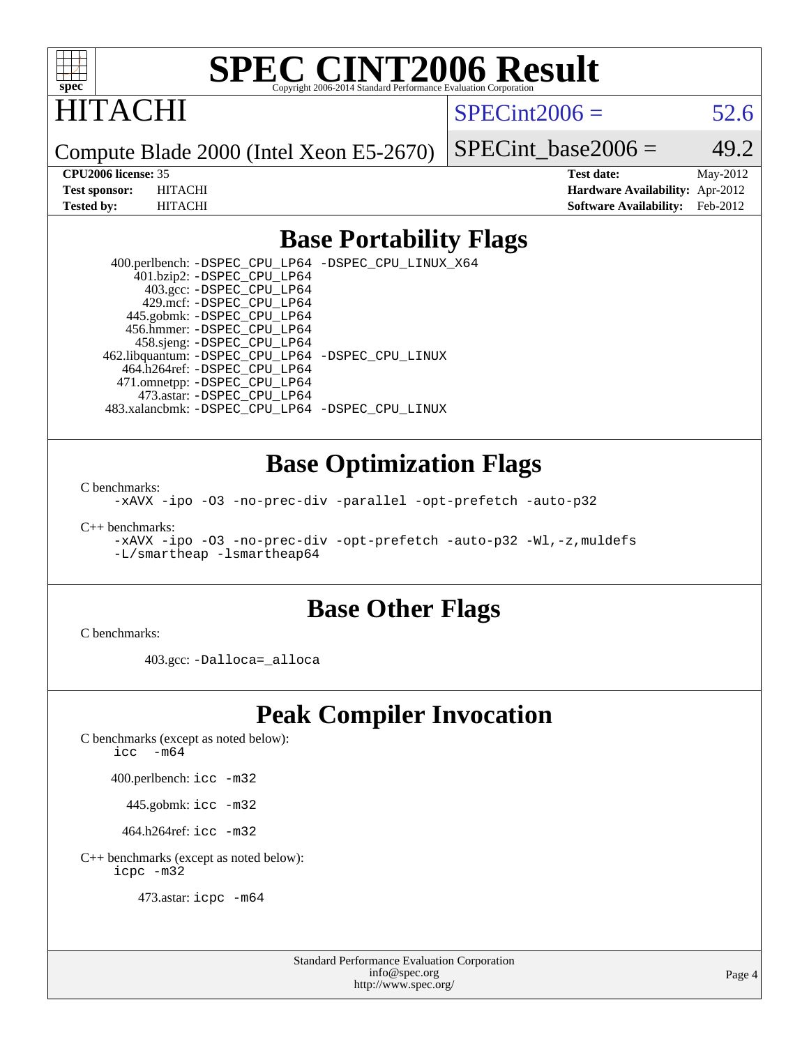

# HITACHI

 $SPECint2006 = 52.6$  $SPECint2006 = 52.6$ 

Compute Blade 2000 (Intel Xeon E5-2670)

SPECint base2006 =  $49.2$ 

**[CPU2006 license:](http://www.spec.org/auto/cpu2006/Docs/result-fields.html#CPU2006license)** 35 **[Test date:](http://www.spec.org/auto/cpu2006/Docs/result-fields.html#Testdate)** May-2012 **[Test sponsor:](http://www.spec.org/auto/cpu2006/Docs/result-fields.html#Testsponsor)** HITACHI **[Hardware Availability:](http://www.spec.org/auto/cpu2006/Docs/result-fields.html#HardwareAvailability)** Apr-2012 **[Tested by:](http://www.spec.org/auto/cpu2006/Docs/result-fields.html#Testedby)** HITACHI **[Software Availability:](http://www.spec.org/auto/cpu2006/Docs/result-fields.html#SoftwareAvailability)** Feb-2012

## **[Base Portability Flags](http://www.spec.org/auto/cpu2006/Docs/result-fields.html#BasePortabilityFlags)**

 400.perlbench: [-DSPEC\\_CPU\\_LP64](http://www.spec.org/cpu2006/results/res2012q3/cpu2006-20120619-23061.flags.html#b400.perlbench_basePORTABILITY_DSPEC_CPU_LP64) [-DSPEC\\_CPU\\_LINUX\\_X64](http://www.spec.org/cpu2006/results/res2012q3/cpu2006-20120619-23061.flags.html#b400.perlbench_baseCPORTABILITY_DSPEC_CPU_LINUX_X64) 401.bzip2: [-DSPEC\\_CPU\\_LP64](http://www.spec.org/cpu2006/results/res2012q3/cpu2006-20120619-23061.flags.html#suite_basePORTABILITY401_bzip2_DSPEC_CPU_LP64) 403.gcc: [-DSPEC\\_CPU\\_LP64](http://www.spec.org/cpu2006/results/res2012q3/cpu2006-20120619-23061.flags.html#suite_basePORTABILITY403_gcc_DSPEC_CPU_LP64) 429.mcf: [-DSPEC\\_CPU\\_LP64](http://www.spec.org/cpu2006/results/res2012q3/cpu2006-20120619-23061.flags.html#suite_basePORTABILITY429_mcf_DSPEC_CPU_LP64) 445.gobmk: [-DSPEC\\_CPU\\_LP64](http://www.spec.org/cpu2006/results/res2012q3/cpu2006-20120619-23061.flags.html#suite_basePORTABILITY445_gobmk_DSPEC_CPU_LP64) 456.hmmer: [-DSPEC\\_CPU\\_LP64](http://www.spec.org/cpu2006/results/res2012q3/cpu2006-20120619-23061.flags.html#suite_basePORTABILITY456_hmmer_DSPEC_CPU_LP64) 458.sjeng: [-DSPEC\\_CPU\\_LP64](http://www.spec.org/cpu2006/results/res2012q3/cpu2006-20120619-23061.flags.html#suite_basePORTABILITY458_sjeng_DSPEC_CPU_LP64) 462.libquantum: [-DSPEC\\_CPU\\_LP64](http://www.spec.org/cpu2006/results/res2012q3/cpu2006-20120619-23061.flags.html#suite_basePORTABILITY462_libquantum_DSPEC_CPU_LP64) [-DSPEC\\_CPU\\_LINUX](http://www.spec.org/cpu2006/results/res2012q3/cpu2006-20120619-23061.flags.html#b462.libquantum_baseCPORTABILITY_DSPEC_CPU_LINUX) 464.h264ref: [-DSPEC\\_CPU\\_LP64](http://www.spec.org/cpu2006/results/res2012q3/cpu2006-20120619-23061.flags.html#suite_basePORTABILITY464_h264ref_DSPEC_CPU_LP64) 471.omnetpp: [-DSPEC\\_CPU\\_LP64](http://www.spec.org/cpu2006/results/res2012q3/cpu2006-20120619-23061.flags.html#suite_basePORTABILITY471_omnetpp_DSPEC_CPU_LP64) 473.astar: [-DSPEC\\_CPU\\_LP64](http://www.spec.org/cpu2006/results/res2012q3/cpu2006-20120619-23061.flags.html#suite_basePORTABILITY473_astar_DSPEC_CPU_LP64) 483.xalancbmk: [-DSPEC\\_CPU\\_LP64](http://www.spec.org/cpu2006/results/res2012q3/cpu2006-20120619-23061.flags.html#suite_basePORTABILITY483_xalancbmk_DSPEC_CPU_LP64) [-DSPEC\\_CPU\\_LINUX](http://www.spec.org/cpu2006/results/res2012q3/cpu2006-20120619-23061.flags.html#b483.xalancbmk_baseCXXPORTABILITY_DSPEC_CPU_LINUX)

### **[Base Optimization Flags](http://www.spec.org/auto/cpu2006/Docs/result-fields.html#BaseOptimizationFlags)**

[C benchmarks](http://www.spec.org/auto/cpu2006/Docs/result-fields.html#Cbenchmarks):

[-xAVX](http://www.spec.org/cpu2006/results/res2012q3/cpu2006-20120619-23061.flags.html#user_CCbase_f-xAVX) [-ipo](http://www.spec.org/cpu2006/results/res2012q3/cpu2006-20120619-23061.flags.html#user_CCbase_f-ipo) [-O3](http://www.spec.org/cpu2006/results/res2012q3/cpu2006-20120619-23061.flags.html#user_CCbase_f-O3) [-no-prec-div](http://www.spec.org/cpu2006/results/res2012q3/cpu2006-20120619-23061.flags.html#user_CCbase_f-no-prec-div) [-parallel](http://www.spec.org/cpu2006/results/res2012q3/cpu2006-20120619-23061.flags.html#user_CCbase_f-parallel) [-opt-prefetch](http://www.spec.org/cpu2006/results/res2012q3/cpu2006-20120619-23061.flags.html#user_CCbase_f-opt-prefetch) [-auto-p32](http://www.spec.org/cpu2006/results/res2012q3/cpu2006-20120619-23061.flags.html#user_CCbase_f-auto-p32)

[C++ benchmarks:](http://www.spec.org/auto/cpu2006/Docs/result-fields.html#CXXbenchmarks)

[-xAVX](http://www.spec.org/cpu2006/results/res2012q3/cpu2006-20120619-23061.flags.html#user_CXXbase_f-xAVX) [-ipo](http://www.spec.org/cpu2006/results/res2012q3/cpu2006-20120619-23061.flags.html#user_CXXbase_f-ipo) [-O3](http://www.spec.org/cpu2006/results/res2012q3/cpu2006-20120619-23061.flags.html#user_CXXbase_f-O3) [-no-prec-div](http://www.spec.org/cpu2006/results/res2012q3/cpu2006-20120619-23061.flags.html#user_CXXbase_f-no-prec-div) [-opt-prefetch](http://www.spec.org/cpu2006/results/res2012q3/cpu2006-20120619-23061.flags.html#user_CXXbase_f-opt-prefetch) [-auto-p32](http://www.spec.org/cpu2006/results/res2012q3/cpu2006-20120619-23061.flags.html#user_CXXbase_f-auto-p32) [-Wl,-z,muldefs](http://www.spec.org/cpu2006/results/res2012q3/cpu2006-20120619-23061.flags.html#user_CXXbase_link_force_multiple1_74079c344b956b9658436fd1b6dd3a8a) [-L/smartheap -lsmartheap64](http://www.spec.org/cpu2006/results/res2012q3/cpu2006-20120619-23061.flags.html#user_CXXbase_SmartHeap64_5e654037dadeae1fe403ab4b4466e60b)

### **[Base Other Flags](http://www.spec.org/auto/cpu2006/Docs/result-fields.html#BaseOtherFlags)**

[C benchmarks](http://www.spec.org/auto/cpu2006/Docs/result-fields.html#Cbenchmarks):

403.gcc: [-Dalloca=\\_alloca](http://www.spec.org/cpu2006/results/res2012q3/cpu2006-20120619-23061.flags.html#b403.gcc_baseEXTRA_CFLAGS_Dalloca_be3056838c12de2578596ca5467af7f3)

## **[Peak Compiler Invocation](http://www.spec.org/auto/cpu2006/Docs/result-fields.html#PeakCompilerInvocation)**

[C benchmarks \(except as noted below\)](http://www.spec.org/auto/cpu2006/Docs/result-fields.html#Cbenchmarksexceptasnotedbelow):

icc  $-m64$ 

400.perlbench: [icc -m32](http://www.spec.org/cpu2006/results/res2012q3/cpu2006-20120619-23061.flags.html#user_peakCCLD400_perlbench_intel_icc_a6a621f8d50482236b970c6ac5f55f93)

445.gobmk: [icc -m32](http://www.spec.org/cpu2006/results/res2012q3/cpu2006-20120619-23061.flags.html#user_peakCCLD445_gobmk_intel_icc_a6a621f8d50482236b970c6ac5f55f93)

464.h264ref: [icc -m32](http://www.spec.org/cpu2006/results/res2012q3/cpu2006-20120619-23061.flags.html#user_peakCCLD464_h264ref_intel_icc_a6a621f8d50482236b970c6ac5f55f93)

[C++ benchmarks \(except as noted below\):](http://www.spec.org/auto/cpu2006/Docs/result-fields.html#CXXbenchmarksexceptasnotedbelow) [icpc -m32](http://www.spec.org/cpu2006/results/res2012q3/cpu2006-20120619-23061.flags.html#user_CXXpeak_intel_icpc_4e5a5ef1a53fd332b3c49e69c3330699)

473.astar: [icpc -m64](http://www.spec.org/cpu2006/results/res2012q3/cpu2006-20120619-23061.flags.html#user_peakCXXLD473_astar_intel_icpc_64bit_fc66a5337ce925472a5c54ad6a0de310)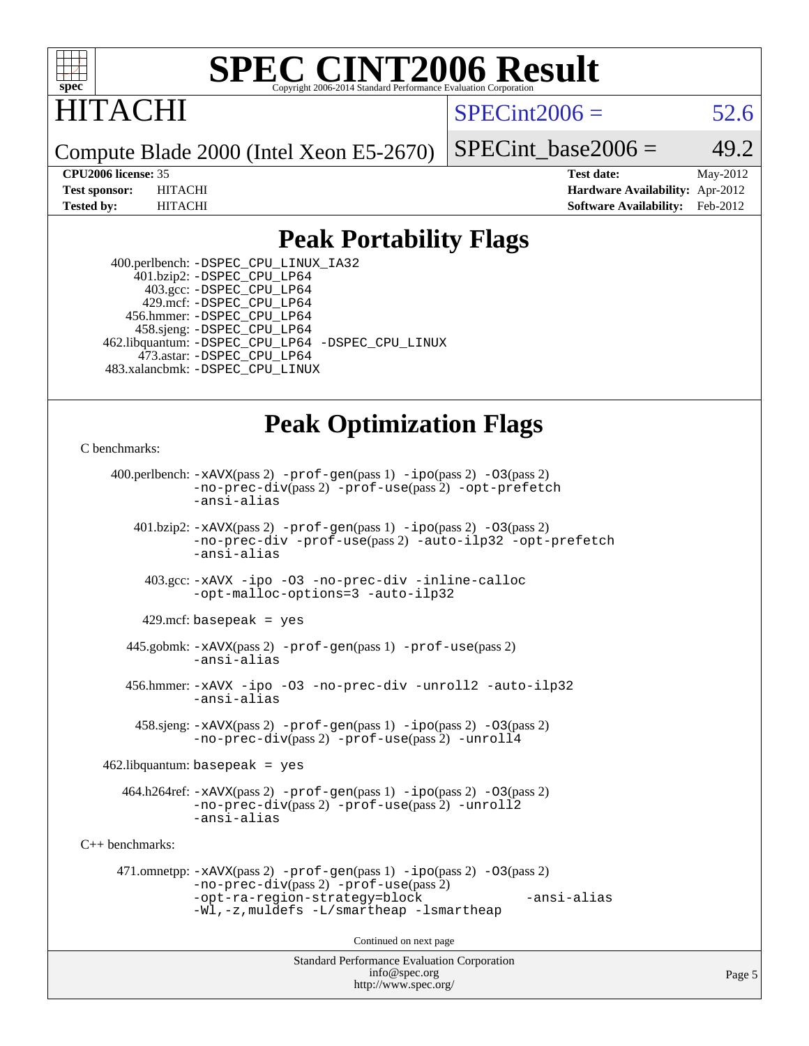

# ITACHI

 $SPECint2006 = 52.6$  $SPECint2006 = 52.6$ 

Compute Blade 2000 (Intel Xeon E5-2670)

SPECint base2006 =  $49.2$ 

**[CPU2006 license:](http://www.spec.org/auto/cpu2006/Docs/result-fields.html#CPU2006license)** 35 **[Test date:](http://www.spec.org/auto/cpu2006/Docs/result-fields.html#Testdate)** May-2012 **[Test sponsor:](http://www.spec.org/auto/cpu2006/Docs/result-fields.html#Testsponsor)** HITACHI **[Hardware Availability:](http://www.spec.org/auto/cpu2006/Docs/result-fields.html#HardwareAvailability)** Apr-2012 **[Tested by:](http://www.spec.org/auto/cpu2006/Docs/result-fields.html#Testedby)** HITACHI **[Software Availability:](http://www.spec.org/auto/cpu2006/Docs/result-fields.html#SoftwareAvailability)** Feb-2012

## **[Peak Portability Flags](http://www.spec.org/auto/cpu2006/Docs/result-fields.html#PeakPortabilityFlags)**

 400.perlbench: [-DSPEC\\_CPU\\_LINUX\\_IA32](http://www.spec.org/cpu2006/results/res2012q3/cpu2006-20120619-23061.flags.html#b400.perlbench_peakCPORTABILITY_DSPEC_CPU_LINUX_IA32) 401.bzip2: [-DSPEC\\_CPU\\_LP64](http://www.spec.org/cpu2006/results/res2012q3/cpu2006-20120619-23061.flags.html#suite_peakPORTABILITY401_bzip2_DSPEC_CPU_LP64) 403.gcc: [-DSPEC\\_CPU\\_LP64](http://www.spec.org/cpu2006/results/res2012q3/cpu2006-20120619-23061.flags.html#suite_peakPORTABILITY403_gcc_DSPEC_CPU_LP64) 429.mcf: [-DSPEC\\_CPU\\_LP64](http://www.spec.org/cpu2006/results/res2012q3/cpu2006-20120619-23061.flags.html#suite_peakPORTABILITY429_mcf_DSPEC_CPU_LP64) 456.hmmer: [-DSPEC\\_CPU\\_LP64](http://www.spec.org/cpu2006/results/res2012q3/cpu2006-20120619-23061.flags.html#suite_peakPORTABILITY456_hmmer_DSPEC_CPU_LP64) 458.sjeng: [-DSPEC\\_CPU\\_LP64](http://www.spec.org/cpu2006/results/res2012q3/cpu2006-20120619-23061.flags.html#suite_peakPORTABILITY458_sjeng_DSPEC_CPU_LP64) 462.libquantum: [-DSPEC\\_CPU\\_LP64](http://www.spec.org/cpu2006/results/res2012q3/cpu2006-20120619-23061.flags.html#suite_peakPORTABILITY462_libquantum_DSPEC_CPU_LP64) [-DSPEC\\_CPU\\_LINUX](http://www.spec.org/cpu2006/results/res2012q3/cpu2006-20120619-23061.flags.html#b462.libquantum_peakCPORTABILITY_DSPEC_CPU_LINUX) 473.astar: [-DSPEC\\_CPU\\_LP64](http://www.spec.org/cpu2006/results/res2012q3/cpu2006-20120619-23061.flags.html#suite_peakPORTABILITY473_astar_DSPEC_CPU_LP64) 483.xalancbmk: [-DSPEC\\_CPU\\_LINUX](http://www.spec.org/cpu2006/results/res2012q3/cpu2006-20120619-23061.flags.html#b483.xalancbmk_peakCXXPORTABILITY_DSPEC_CPU_LINUX)

## **[Peak Optimization Flags](http://www.spec.org/auto/cpu2006/Docs/result-fields.html#PeakOptimizationFlags)**

```
C benchmarks:
```

```
Standard Performance Evaluation Corporation
                                          info@spec.org
     400.perlbench: -xAVX(pass 2) -prof-gen(pass 1) -ipo(pass 2) -O3(pass 2)
                -no-prec-div(pass 2) -prof-use(pass 2) -opt-prefetch
                -ansi-alias
        401.bzip2: -xAVX(pass 2) -prof-gen(pass 1) -ipo(pass 2) -O3(pass 2)
                -no-prec-div -prof-use(pass 2) -auto-ilp32 -opt-prefetch
                -ansi-alias
          403.gcc: -xAVX -ipo -O3 -no-prec-div -inline-calloc
                -opt-malloc-options=3 -auto-ilp32
         429.mcf: basepeak = yes
       445.gobmk: -xAVX(pass 2) -prof-gen(pass 1) -prof-use(pass 2)
                -ansi-alias
       456.hmmer: -xAVX -ipo -O3 -no-prec-div -unroll2 -auto-ilp32
                -ansi-alias
         458.sjeng: -xAVX(pass 2) -prof-gen(pass 1) -ipo(pass 2) -O3(pass 2)
                -no-prec-div(pass 2) -prof-use(pass 2) -unroll4
    462.libquantum: basepeak = yes
       464.h264ref: -xAVX(pass 2) -prof-gen(pass 1) -ipo(pass 2) -O3(pass 2)
                -no-prec-div(pass 2) -prof-use(pass 2) -unroll2
                -ansi-alias
C++ benchmarks: 
      471.omnetpp: -xAVX(pass 2) -prof-gen(pass 1) -ipo(pass 2) -O3(pass 2)
                -no-prec-div(pass 2) -prof-use(pass 2)
                -opt-ra-region-strategy=block -ansi-alias
                -Wl,-z,muldefs -L/smartheap -lsmartheap
                                        Continued on next page
```
<http://www.spec.org/>